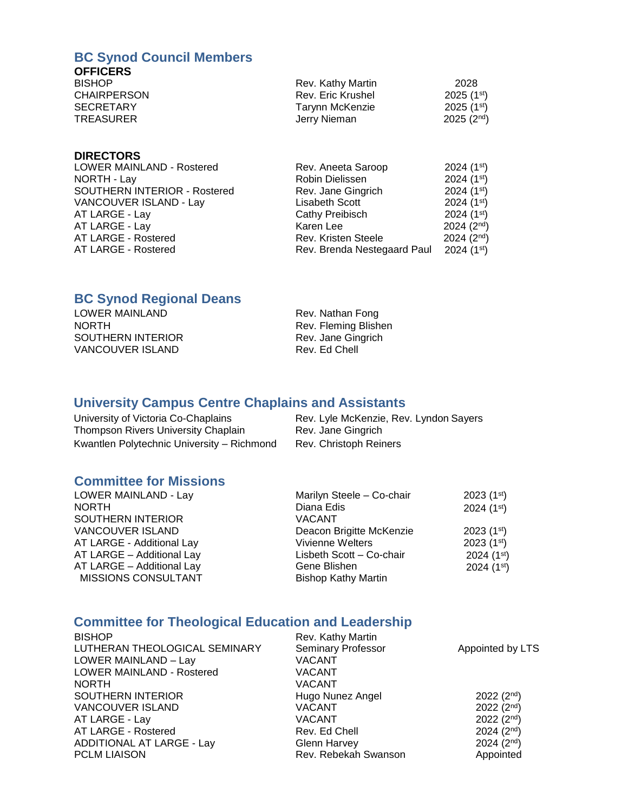### **BC Synod Council Members**

#### **OFFICERS**

| <b>BISHOP</b>      | Rev. Kathy Martin | 2028                    |
|--------------------|-------------------|-------------------------|
| <b>CHAIRPERSON</b> | Rev. Eric Krushel | $2025(1^{st})$          |
| <b>SECRETARY</b>   | Tarynn McKenzie   | 2025 (1 <sup>st</sup> ) |
| <b>TREASURER</b>   | Jerry Nieman      | 2025(2 <sup>nd</sup> )  |

#### **DIRECTORS**

| LOWER MAINLAND - Rostered    | Rev. Aneeta Saroop          | $2024(1^{st})$         |
|------------------------------|-----------------------------|------------------------|
| NORTH - Lay                  | Robin Dielissen             | 2024 $(1st)$           |
| SOUTHERN INTERIOR - Rostered | Rev. Jane Gingrich          | $2024(1^{st})$         |
| VANCOUVER ISLAND - Lay       | Lisabeth Scott              | $2024(1^{st})$         |
| AT LARGE - Lay               | Cathy Preibisch             | $2024(1^{st})$         |
| AT LARGE - Lay               | Karen Lee                   | $2024(2^{nd})$         |
| AT LARGE - Rostered          | Rev. Kristen Steele         | $2024(2^{nd})$         |
| AT LARGE - Rostered          | Rev. Brenda Nestegaard Paul | 2024(1 <sup>st</sup> ) |

## **BC Synod Regional Deans**

| LOWER MAINLAND          |  |
|-------------------------|--|
| <b>NORTH</b>            |  |
| SOUTHERN INTERIOR       |  |
| <b>VANCOUVER ISLAND</b> |  |

Rev. Nathan Fong Rev. Fleming Blishen Rev. Jane Gingrich Rev. Ed Chell

# **University Campus Centre Chaplains and Assistants**

| University of Victoria Co-Chaplains        | Rev. Lyle McKenzie, Rev. Lyndon Sayers |
|--------------------------------------------|----------------------------------------|
| Thompson Rivers University Chaplain        | Rev. Jane Gingrich                     |
| Kwantlen Polytechnic University – Richmond | Rev. Christoph Reiners                 |

## **Committee for Missions**

| LOWER MAINLAND - Lay      | Marilyn Steele - Co-chair  | $2023(1^{st})$         |
|---------------------------|----------------------------|------------------------|
| <b>NORTH</b>              | Diana Edis                 | $2024(1^{st})$         |
| SOUTHERN INTERIOR         | <b>VACANT</b>              |                        |
| <b>VANCOUVER ISLAND</b>   | Deacon Brigitte McKenzie   | $2023(1^{st})$         |
| AT LARGE - Additional Lay | Vivienne Welters           | $2023(1^{st})$         |
| AT LARGE - Additional Lay | Lisbeth Scott - Co-chair   | 2024(1 <sup>st</sup> ) |
| AT LARGE - Additional Lay | Gene Blishen               | $2024(1^{st})$         |
| MISSIONS CONSULTANT       | <b>Bishop Kathy Martin</b> |                        |

## **Committee for Theological Education and Leadership**

| <b>BISHOP</b>                    | Rev. Kathy Martin         |                        |
|----------------------------------|---------------------------|------------------------|
| LUTHERAN THEOLOGICAL SEMINARY    | <b>Seminary Professor</b> | Appointed by LTS       |
| LOWER MAINLAND - Lay             | <b>VACANT</b>             |                        |
| LOWER MAINLAND - Rostered        | <b>VACANT</b>             |                        |
| <b>NORTH</b>                     | <b>VACANT</b>             |                        |
| SOUTHERN INTERIOR                | Hugo Nunez Angel          | 2022(2 <sup>nd</sup> ) |
| <b>VANCOUVER ISLAND</b>          | <b>VACANT</b>             | 2022(2 <sup>nd</sup> ) |
| AT LARGE - Lay                   | <b>VACANT</b>             | 2022(2 <sup>nd</sup> ) |
| AT LARGE - Rostered              | Rev. Ed Chell             | 2024(2 <sup>nd</sup> ) |
| <b>ADDITIONAL AT LARGE - Lay</b> | <b>Glenn Harvey</b>       | $2024(2^{nd})$         |
| <b>PCLM LIAISON</b>              | Rev. Rebekah Swanson      | Appointed              |